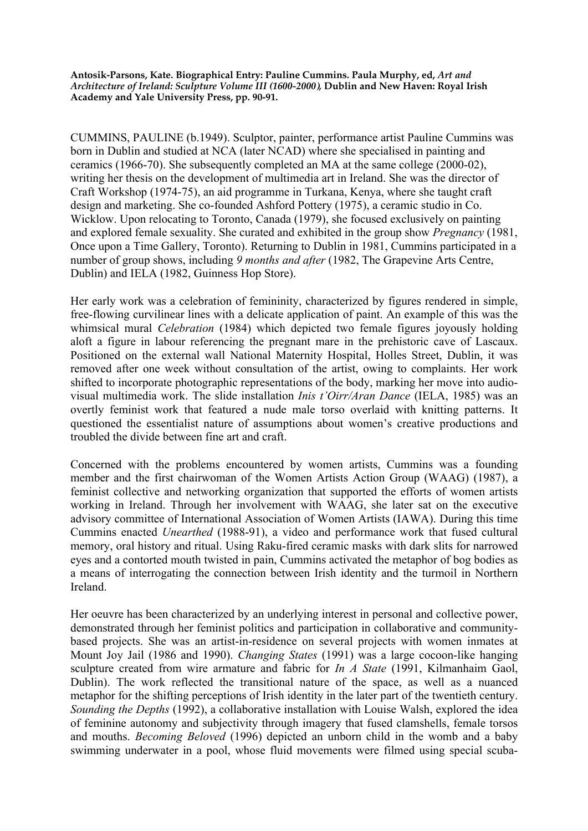**Antosik-Parsons, Kate. Biographical Entry: Pauline Cummins. Paula Murphy, ed,** *Art and Architecture of Ireland: Sculpture Volume III (1600-2000),* **Dublin and New Haven: Royal Irish Academy and Yale University Press, pp. 90-91.** 

CUMMINS, PAULINE (b.1949). Sculptor, painter, performance artist Pauline Cummins was born in Dublin and studied at NCA (later NCAD) where she specialised in painting and ceramics (1966-70). She subsequently completed an MA at the same college (2000-02), writing her thesis on the development of multimedia art in Ireland. She was the director of Craft Workshop (1974-75), an aid programme in Turkana, Kenya, where she taught craft design and marketing. She co-founded Ashford Pottery (1975), a ceramic studio in Co. Wicklow. Upon relocating to Toronto, Canada (1979), she focused exclusively on painting and explored female sexuality. She curated and exhibited in the group show *Pregnancy* (1981, Once upon a Time Gallery, Toronto). Returning to Dublin in 1981, Cummins participated in a number of group shows, including *9 months and after* (1982, The Grapevine Arts Centre, Dublin) and IELA (1982, Guinness Hop Store).

Her early work was a celebration of femininity, characterized by figures rendered in simple, free-flowing curvilinear lines with a delicate application of paint. An example of this was the whimsical mural *Celebration* (1984) which depicted two female figures joyously holding aloft a figure in labour referencing the pregnant mare in the prehistoric cave of Lascaux. Positioned on the external wall National Maternity Hospital, Holles Street, Dublin, it was removed after one week without consultation of the artist, owing to complaints. Her work shifted to incorporate photographic representations of the body, marking her move into audiovisual multimedia work. The slide installation *Inis t'Oirr/Aran Dance* (IELA, 1985) was an overtly feminist work that featured a nude male torso overlaid with knitting patterns. It questioned the essentialist nature of assumptions about women's creative productions and troubled the divide between fine art and craft.

Concerned with the problems encountered by women artists, Cummins was a founding member and the first chairwoman of the Women Artists Action Group (WAAG) (1987), a feminist collective and networking organization that supported the efforts of women artists working in Ireland. Through her involvement with WAAG, she later sat on the executive advisory committee of International Association of Women Artists (IAWA). During this time Cummins enacted *Unearthed* (1988-91), a video and performance work that fused cultural memory, oral history and ritual. Using Raku-fired ceramic masks with dark slits for narrowed eyes and a contorted mouth twisted in pain, Cummins activated the metaphor of bog bodies as a means of interrogating the connection between Irish identity and the turmoil in Northern Ireland.

Her oeuvre has been characterized by an underlying interest in personal and collective power, demonstrated through her feminist politics and participation in collaborative and communitybased projects. She was an artist-in-residence on several projects with women inmates at Mount Joy Jail (1986 and 1990). *Changing States* (1991) was a large cocoon-like hanging sculpture created from wire armature and fabric for *In A State* (1991, Kilmanhaim Gaol, Dublin). The work reflected the transitional nature of the space, as well as a nuanced metaphor for the shifting perceptions of Irish identity in the later part of the twentieth century. *Sounding the Depths* (1992), a collaborative installation with Louise Walsh, explored the idea of feminine autonomy and subjectivity through imagery that fused clamshells, female torsos and mouths. *Becoming Beloved* (1996) depicted an unborn child in the womb and a baby swimming underwater in a pool, whose fluid movements were filmed using special scuba